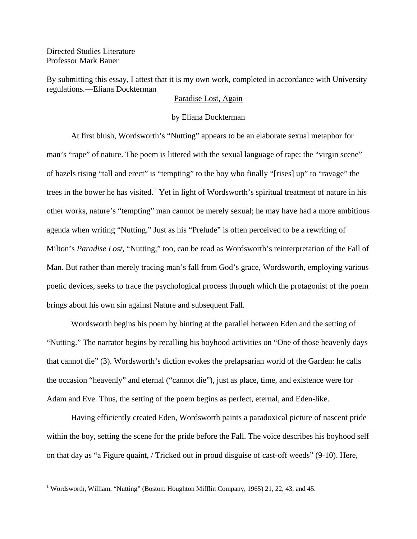Directed Studies Literature Professor Mark Bauer

 $\overline{a}$ 

By submitting this essay, I attest that it is my own work, completed in accordance with University regulations.—Eliana Dockterman

## Paradise Lost, Again

## by Eliana Dockterman

At first blush, Wordsworth's "Nutting" appears to be an elaborate sexual metaphor for man's "rape" of nature. The poem is littered with the sexual language of rape: the "virgin scene" of hazels rising "tall and erect" is "tempting" to the boy who finally "[rises] up" to "ravage" the trees in the bower he has visited.<sup>[1](#page-0-0)</sup> Yet in light of Wordsworth's spiritual treatment of nature in his other works, nature's "tempting" man cannot be merely sexual; he may have had a more ambitious agenda when writing "Nutting." Just as his "Prelude" is often perceived to be a rewriting of Milton's *Paradise Lost*, "Nutting," too, can be read as Wordsworth's reinterpretation of the Fall of Man. But rather than merely tracing man's fall from God's grace, Wordsworth, employing various poetic devices, seeks to trace the psychological process through which the protagonist of the poem brings about his own sin against Nature and subsequent Fall.

 Wordsworth begins his poem by hinting at the parallel between Eden and the setting of "Nutting." The narrator begins by recalling his boyhood activities on "One of those heavenly days that cannot die" (3). Wordsworth's diction evokes the prelapsarian world of the Garden: he calls the occasion "heavenly" and eternal ("cannot die"), just as place, time, and existence were for Adam and Eve. Thus, the setting of the poem begins as perfect, eternal, and Eden-like.

Having efficiently created Eden, Wordsworth paints a paradoxical picture of nascent pride within the boy, setting the scene for the pride before the Fall. The voice describes his boyhood self on that day as "a Figure quaint, / Tricked out in proud disguise of cast-off weeds" (9-10). Here,

<span id="page-0-0"></span><sup>&</sup>lt;sup>1</sup> Wordsworth, William. "Nutting" (Boston: Houghton Mifflin Company, 1965) 21, 22, 43, and 45.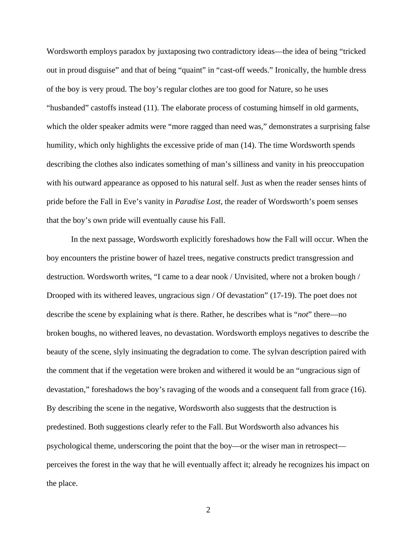Wordsworth employs paradox by juxtaposing two contradictory ideas—the idea of being "tricked out in proud disguise" and that of being "quaint" in "cast-off weeds." Ironically, the humble dress of the boy is very proud. The boy's regular clothes are too good for Nature, so he uses "husbanded" castoffs instead (11). The elaborate process of costuming himself in old garments, which the older speaker admits were "more ragged than need was," demonstrates a surprising false humility, which only highlights the excessive pride of man (14). The time Wordsworth spends describing the clothes also indicates something of man's silliness and vanity in his preoccupation with his outward appearance as opposed to his natural self. Just as when the reader senses hints of pride before the Fall in Eve's vanity in *Paradise Lost*, the reader of Wordsworth's poem senses that the boy's own pride will eventually cause his Fall.

 In the next passage, Wordsworth explicitly foreshadows how the Fall will occur. When the boy encounters the pristine bower of hazel trees, negative constructs predict transgression and destruction. Wordsworth writes, "I came to a dear nook / Unvisited, where not a broken bough / Drooped with its withered leaves, ungracious sign / Of devastation" (17-19). The poet does not describe the scene by explaining what *is* there. Rather, he describes what is "*not*" there—no broken boughs, no withered leaves, no devastation. Wordsworth employs negatives to describe the beauty of the scene, slyly insinuating the degradation to come. The sylvan description paired with the comment that if the vegetation were broken and withered it would be an "ungracious sign of devastation," foreshadows the boy's ravaging of the woods and a consequent fall from grace (16). By describing the scene in the negative, Wordsworth also suggests that the destruction is predestined. Both suggestions clearly refer to the Fall. But Wordsworth also advances his psychological theme, underscoring the point that the boy—or the wiser man in retrospect perceives the forest in the way that he will eventually affect it; already he recognizes his impact on the place.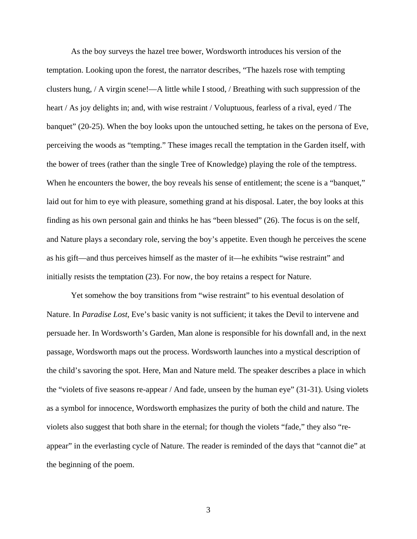As the boy surveys the hazel tree bower, Wordsworth introduces his version of the temptation. Looking upon the forest, the narrator describes, "The hazels rose with tempting clusters hung, / A virgin scene!—A little while I stood, / Breathing with such suppression of the heart / As joy delights in; and, with wise restraint / Voluptuous, fearless of a rival, eyed / The banquet" (20-25). When the boy looks upon the untouched setting, he takes on the persona of Eve, perceiving the woods as "tempting." These images recall the temptation in the Garden itself, with the bower of trees (rather than the single Tree of Knowledge) playing the role of the temptress. When he encounters the bower, the boy reveals his sense of entitlement; the scene is a "banquet," laid out for him to eye with pleasure, something grand at his disposal. Later, the boy looks at this finding as his own personal gain and thinks he has "been blessed" (26). The focus is on the self, and Nature plays a secondary role, serving the boy's appetite. Even though he perceives the scene as his gift—and thus perceives himself as the master of it—he exhibits "wise restraint" and initially resists the temptation (23). For now, the boy retains a respect for Nature.

 Yet somehow the boy transitions from "wise restraint" to his eventual desolation of Nature. In *Paradise Lost*, Eve's basic vanity is not sufficient; it takes the Devil to intervene and persuade her. In Wordsworth's Garden, Man alone is responsible for his downfall and, in the next passage, Wordsworth maps out the process. Wordsworth launches into a mystical description of the child's savoring the spot. Here, Man and Nature meld. The speaker describes a place in which the "violets of five seasons re-appear / And fade, unseen by the human eye" (31-31). Using violets as a symbol for innocence, Wordsworth emphasizes the purity of both the child and nature. The violets also suggest that both share in the eternal; for though the violets "fade," they also "reappear" in the everlasting cycle of Nature. The reader is reminded of the days that "cannot die" at the beginning of the poem.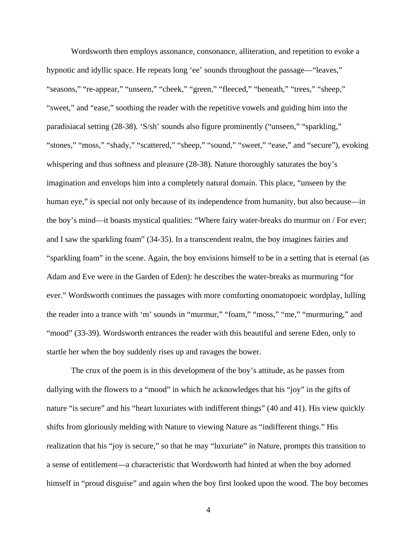Wordsworth then employs assonance, consonance, alliteration, and repetition to evoke a hypnotic and idyllic space. He repeats long 'ee' sounds throughout the passage—"leaves," "seasons," "re-appear," "unseen," "cheek," "green," "fleeced," "beneath," "trees," "sheep," "sweet," and "ease," soothing the reader with the repetitive vowels and guiding him into the paradisiacal setting (28-38). 'S/sh' sounds also figure prominently ("unseen," "sparkling," "stones," "moss," "shady," "scattered," "sheep," "sound," "sweet," "ease," and "secure"), evoking whispering and thus softness and pleasure (28-38). Nature thoroughly saturates the boy's imagination and envelops him into a completely natural domain. This place, "unseen by the human eye," is special not only because of its independence from humanity, but also because—in the boy's mind—it boasts mystical qualities: "Where fairy water-breaks do murmur on / For ever; and I saw the sparkling foam" (34-35). In a transcendent realm, the boy imagines fairies and "sparkling foam" in the scene. Again, the boy envisions himself to be in a setting that is eternal (as Adam and Eve were in the Garden of Eden): he describes the water-breaks as murmuring "for ever." Wordsworth continues the passages with more comforting onomatopoeic wordplay, lulling the reader into a trance with 'm' sounds in "murmur," "foam," "moss," "me," "murmuring," and "mood" (33-39). Wordsworth entrances the reader with this beautiful and serene Eden, only to startle her when the boy suddenly rises up and ravages the bower.

 The crux of the poem is in this development of the boy's attitude, as he passes from dallying with the flowers to a "mood" in which he acknowledges that his "joy" in the gifts of nature "is secure" and his "heart luxuriates with indifferent things" (40 and 41). His view quickly shifts from gloriously melding with Nature to viewing Nature as "indifferent things." His realization that his "joy is secure," so that he may "luxuriate" in Nature, prompts this transition to a sense of entitlement—a characteristic that Wordsworth had hinted at when the boy adorned himself in "proud disguise" and again when the boy first looked upon the wood. The boy becomes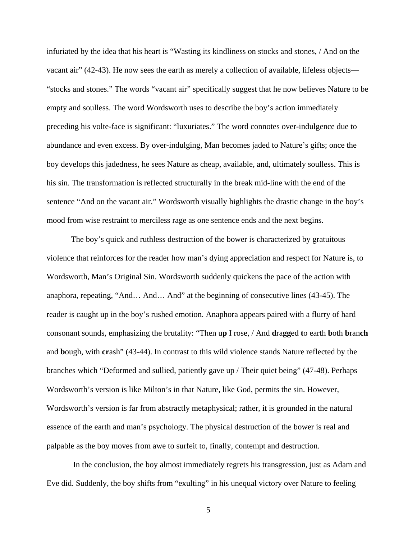infuriated by the idea that his heart is "Wasting its kindliness on stocks and stones, / And on the vacant air" (42-43). He now sees the earth as merely a collection of available, lifeless objects— "stocks and stones." The words "vacant air" specifically suggest that he now believes Nature to be empty and soulless. The word Wordsworth uses to describe the boy's action immediately preceding his volte-face is significant: "luxuriates." The word connotes over-indulgence due to abundance and even excess. By over-indulging, Man becomes jaded to Nature's gifts; once the boy develops this jadedness, he sees Nature as cheap, available, and, ultimately soulless. This is his sin. The transformation is reflected structurally in the break mid-line with the end of the sentence "And on the vacant air." Wordsworth visually highlights the drastic change in the boy's mood from wise restraint to merciless rage as one sentence ends and the next begins.

 The boy's quick and ruthless destruction of the bower is characterized by gratuitous violence that reinforces for the reader how man's dying appreciation and respect for Nature is, to Wordsworth, Man's Original Sin. Wordsworth suddenly quickens the pace of the action with anaphora, repeating, "And… And… And" at the beginning of consecutive lines (43-45). The reader is caught up in the boy's rushed emotion. Anaphora appears paired with a flurry of hard consonant sounds, emphasizing the brutality: "Then u**p** I rose, / And **d**ra**gg**ed **t**o earth **b**oth **b**ran**ch** and **b**ough, with **cr**ash" (43-44). In contrast to this wild violence stands Nature reflected by the branches which "Deformed and sullied, patiently gave up / Their quiet being" (47-48). Perhaps Wordsworth's version is like Milton's in that Nature, like God, permits the sin. However, Wordsworth's version is far from abstractly metaphysical; rather, it is grounded in the natural essence of the earth and man's psychology. The physical destruction of the bower is real and palpable as the boy moves from awe to surfeit to, finally, contempt and destruction.

 In the conclusion, the boy almost immediately regrets his transgression, just as Adam and Eve did. Suddenly, the boy shifts from "exulting" in his unequal victory over Nature to feeling